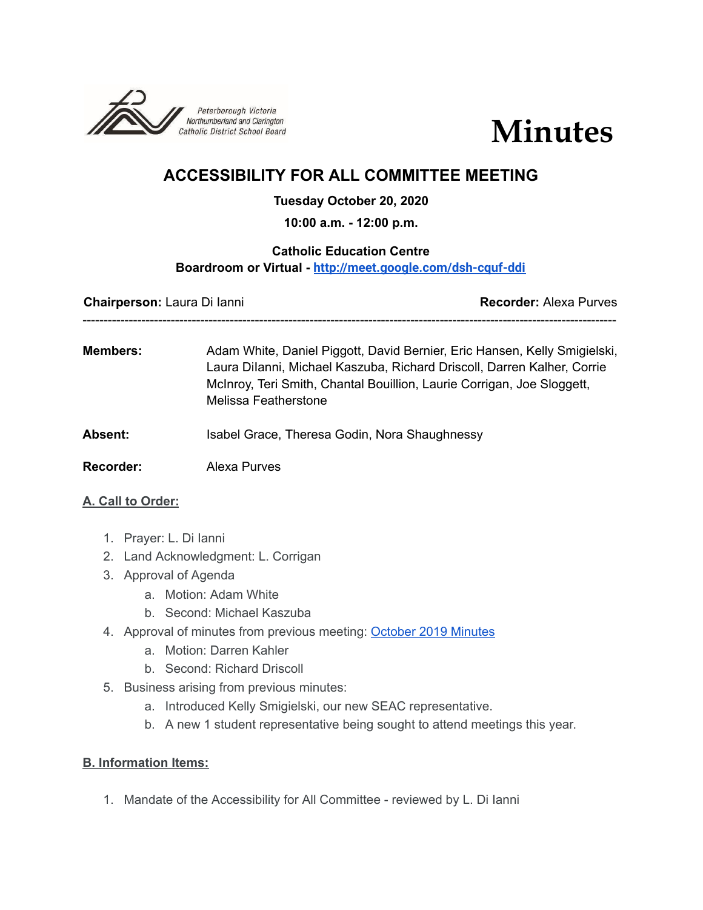



# **ACCESSIBILITY FOR ALL COMMITTEE MEETING**

## **Tuesday October 20, 2020**

**10:00 a.m. - 12:00 p.m.**

## **Catholic Education Centre Boardroom or Virtual - <http://meet.google.com/dsh-cquf-ddi>**

**Chairperson:** Laura Di Ianni **Recorder:** Alexa Purves -------------------------------------------------------------------------------------------------------------------------------

**Members:** Adam White, Daniel Piggott, David Bernier, Eric Hansen, Kelly Smigielski, Laura DiIanni, Michael Kaszuba, Richard Driscoll, Darren Kalher, Corrie McInroy, Teri Smith, Chantal Bouillion, Laurie Corrigan, Joe Sloggett, Melissa Featherstone

Absent: Isabel Grace, Theresa Godin, Nora Shaughnessy

**Recorder:** Alexa Purves

#### **A. Call to Order:**

- 1. Prayer: L. Di Ianni
- 2. Land Acknowledgment: L. Corrigan
- 3. Approval of Agenda
	- a. Motion: Adam White
	- b. Second: Michael Kaszuba
- 4. Approval of minutes from previous meeting: [October](https://docs.google.com/document/d/1Gd0gn5VpCO5uF29jqC563aZYnAovsvI9KSy131GnmwI/edit?usp=sharing) 2019 Minutes
	- a. Motion: Darren Kahler
	- b. Second: Richard Driscoll
- 5. Business arising from previous minutes:
	- a. Introduced Kelly Smigielski, our new SEAC representative.
	- b. A new 1 student representative being sought to attend meetings this year.

#### **B. Information Items:**

1. Mandate of the Accessibility for All Committee - reviewed by L. Di Ianni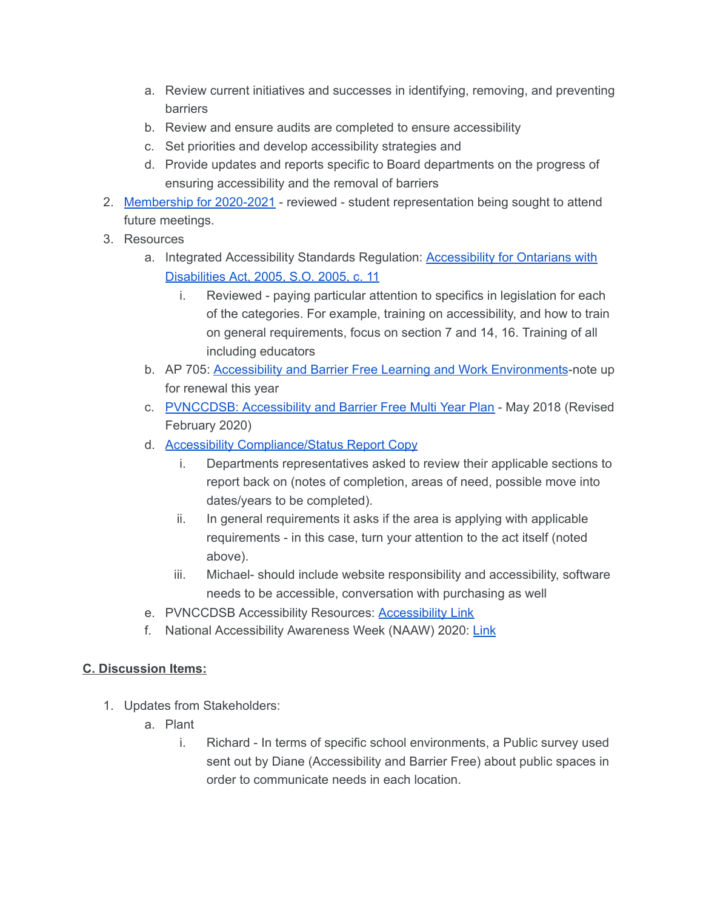- a. Review current initiatives and successes in identifying, removing, and preventing barriers
- b. Review and ensure audits are completed to ensure accessibility
- c. Set priorities and develop accessibility strategies and
- d. Provide updates and reports specific to Board departments on the progress of ensuring accessibility and the removal of barriers
- 2. [Membership](https://docs.google.com/document/d/1qyCf43hqxekzhU6C9aRKoaSor-FDeQX7zm42zxChJAU/edit) for 2020-2021 reviewed student representation being sought to attend future meetings.
- 3. Resources
	- a. Integrated [Accessibility](https://www.ontario.ca/laws/regulation/110191) Standards Regulation: **Accessibility for Ontarians with** [Disabilities](https://www.ontario.ca/laws/regulation/110191) Act, 2005, S.O. 2005, c. 11
		- i. Reviewed paying particular attention to specifics in legislation for each of the categories. For example, training on accessibility, and how to train on general requirements, focus on section 7 and 14, 16. Training of all including educators
	- b. AP 705: Accessibility and Barrier Free Learning and Work [Environments](https://www.pvnccdsb.on.ca/wp-content/uploads/2018/10/705-AP-Accessibility-and-Barrier-Free.pdf)-note up for renewal this year
	- c. [PVNCCDSB:](https://drive.google.com/file/d/15OcvNI__XiKiwgnVH7EkeHzk1zen8kiR/view) Accessibility and Barrier Free Multi Year Plan May 2018 (Revised February 2020)
	- d. Accessibility [Compliance/Status](https://docs.google.com/document/d/12oZISRH-X_556ye9iup7mN2U1YD2adtpWLRJtBFoEBY/edit?usp=sharing) Report Copy
		- i. Departments representatives asked to review their applicable sections to report back on (notes of completion, areas of need, possible move into dates/years to be completed).
		- ii. In general requirements it asks if the area is applying with applicable requirements - in this case, turn your attention to the act itself (noted above).
		- iii. Michael- should include website responsibility and accessibility, software needs to be accessible, conversation with purchasing as well
	- e. PVNCCDSB Accessibility Resources: [Accessibility](https://www.pvnccdsb.on.ca/our-board/accessibility/) Link
	- f. National Accessibility Awareness Week (NAAW) 2020: [Link](https://www.canada.ca/en/employment-social-development/campaigns/national-accessability-week.html)

# **C. Discussion Items:**

- 1. Updates from Stakeholders:
	- a. Plant
		- i. Richard In terms of specific school environments, a Public survey used sent out by Diane (Accessibility and Barrier Free) about public spaces in order to communicate needs in each location.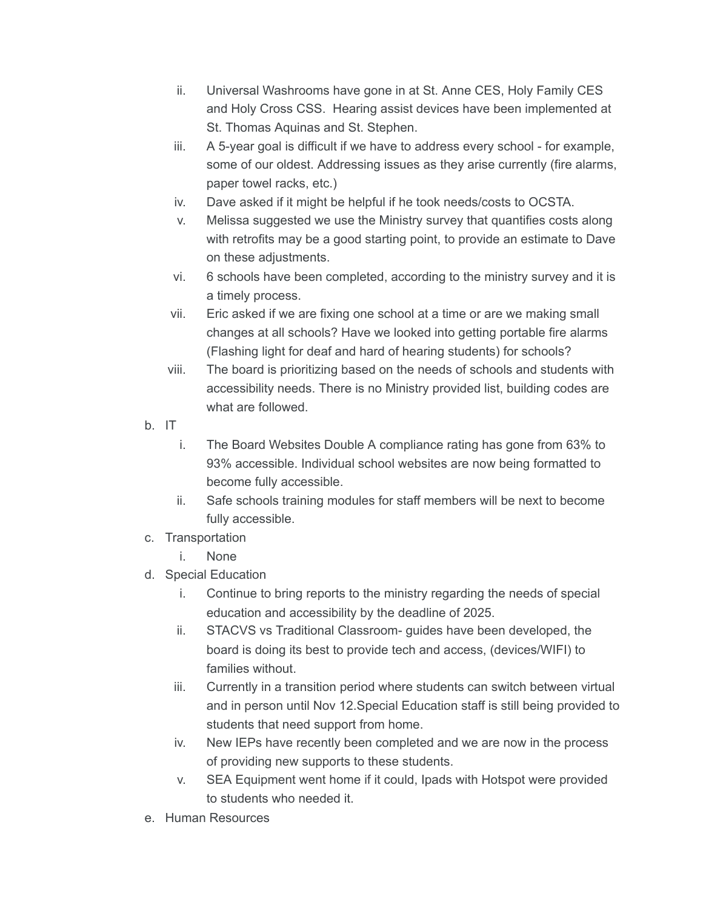- ii. Universal Washrooms have gone in at St. Anne CES, Holy Family CES and Holy Cross CSS. Hearing assist devices have been implemented at St. Thomas Aquinas and St. Stephen.
- iii. A 5-year goal is difficult if we have to address every school for example, some of our oldest. Addressing issues as they arise currently (fire alarms, paper towel racks, etc.)
- iv. Dave asked if it might be helpful if he took needs/costs to OCSTA.
- v. Melissa suggested we use the Ministry survey that quantifies costs along with retrofits may be a good starting point, to provide an estimate to Dave on these adjustments.
- vi. 6 schools have been completed, according to the ministry survey and it is a timely process.
- vii. Eric asked if we are fixing one school at a time or are we making small changes at all schools? Have we looked into getting portable fire alarms (Flashing light for deaf and hard of hearing students) for schools?
- viii. The board is prioritizing based on the needs of schools and students with accessibility needs. There is no Ministry provided list, building codes are what are followed.
- b. IT
	- i. The Board Websites Double A compliance rating has gone from 63% to 93% accessible. Individual school websites are now being formatted to become fully accessible.
	- ii. Safe schools training modules for staff members will be next to become fully accessible.
- c. Transportation
	- i. None
- d. Special Education
	- i. Continue to bring reports to the ministry regarding the needs of special education and accessibility by the deadline of 2025.
	- ii. STACVS vs Traditional Classroom- guides have been developed, the board is doing its best to provide tech and access, (devices/WIFI) to families without.
	- iii. Currently in a transition period where students can switch between virtual and in person until Nov 12.Special Education staff is still being provided to students that need support from home.
	- iv. New IEPs have recently been completed and we are now in the process of providing new supports to these students.
	- v. SEA Equipment went home if it could, Ipads with Hotspot were provided to students who needed it.
- e. Human Resources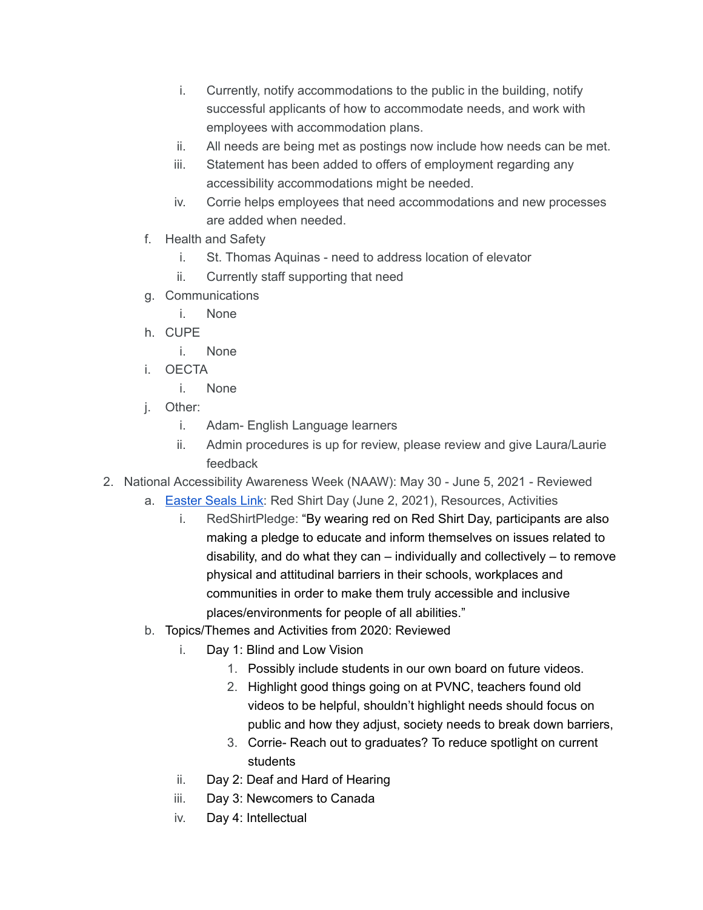- i. Currently, notify accommodations to the public in the building, notify successful applicants of how to accommodate needs, and work with employees with accommodation plans.
- ii. All needs are being met as postings now include how needs can be met.
- iii. Statement has been added to offers of employment regarding any accessibility accommodations might be needed.
- iv. Corrie helps employees that need accommodations and new processes are added when needed.
- f. Health and Safety
	- i. St. Thomas Aquinas need to address location of elevator
	- ii. Currently staff supporting that need
- g. Communications
	- i. None
- h. CUPE
	- i. None
- i. OECTA
	- i. None
- j. Other:
	- i. Adam- English Language learners
	- ii. Admin procedures is up for review, please review and give Laura/Laurie feedback
- 2. National Accessibility Awareness Week (NAAW): May 30 June 5, 2021 Reviewed
	- a. [Easter](https://www.canada.ca/en/employment-social-development/campaigns/national-accessability-week.html) Seals Link: Red Shirt Day (June 2, 2021), Resources, Activities
		- i. RedShirtPledge: "By wearing red on Red Shirt Day, participants are also making a pledge to educate and inform themselves on issues related to disability, and do what they can – individually and collectively – to remove physical and attitudinal barriers in their schools, workplaces and communities in order to make them truly accessible and inclusive places/environments for people of all abilities."
	- b. Topics/Themes and Activities from 2020: Reviewed
		- i. Day 1: Blind and Low Vision
			- 1. Possibly include students in our own board on future videos.
			- 2. Highlight good things going on at PVNC, teachers found old videos to be helpful, shouldn't highlight needs should focus on public and how they adjust, society needs to break down barriers,
			- 3. Corrie- Reach out to graduates? To reduce spotlight on current students
		- ii. Day 2: Deaf and Hard of Hearing
		- iii. Day 3: Newcomers to Canada
		- iv. Day 4: Intellectual